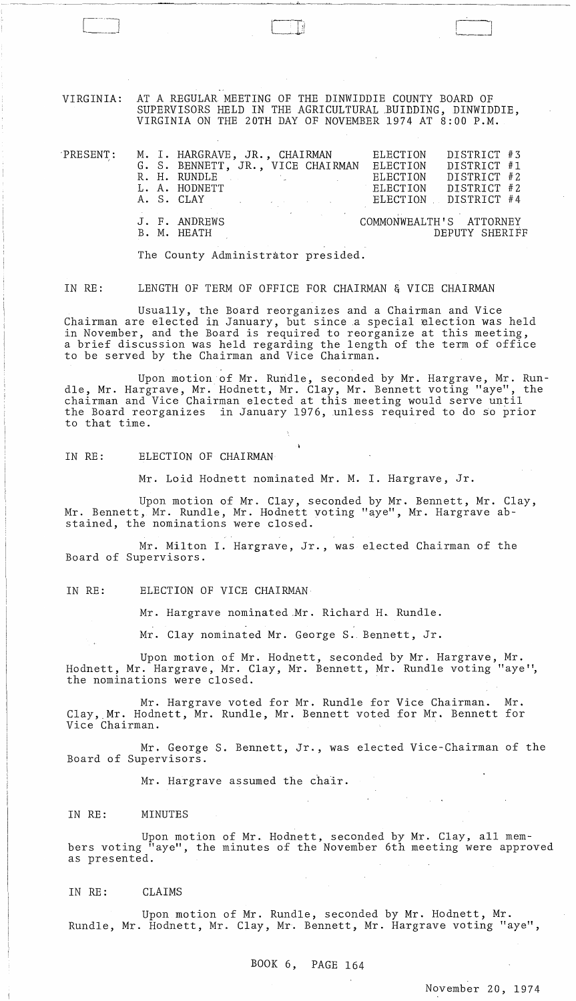VIRGINIA: AT A REGULAR MEETING OF THE DINWIDDIE COUNTY BOARD OF SUPERVISORS HELD IN THE AGRICULTURAL BUIDDING, DINWIDDIE, VIRGINIA ON THE 20TH DAY OF NOVEMBER 1974 AT 8:00 P.M.

| $\mathop{\rm PRESENT}$ : |  | G. S. BENNETT, JR., VICE CHAIRMAN<br>R. H. RUNDLE ARE AND ARRIVE AND THE RESIDENCE OF A RUNDLE<br>L. A. HODNETT |  | M. I. HARGRAVE, JR., CHAIRMAN ELECTION DISTRICT #3<br>ELECTION DISTRICT #1<br>ELECTION DISTRICT #2<br>ELECTION DISTRICT #2<br>A. S. CLAY THE RELECTION DISTRICT #4 |                |  |
|--------------------------|--|-----------------------------------------------------------------------------------------------------------------|--|--------------------------------------------------------------------------------------------------------------------------------------------------------------------|----------------|--|
|                          |  | J. F. ANDREWS<br>B. M. HEATH                                                                                    |  | COMMONWEALTH'S ATTORNEY                                                                                                                                            | DEPUTY SHERIFF |  |

The County Administrator presided.

IN RE: LENGTH OF TERM OF OFFICE FOR CHAIRMAN & VICE CHAIRMAN

Usually, the Board reorganizes and a Chairman and Vice Chairman are elected in January, but since a special election was held in November, and the Board is required to reorganize at this meeting, a brief discussion was held regarding the length of the term of office to be served by the Chairman and Vice Chairman.

Upon motion of Mr. Rundle, seconded by Mr. Hargrave, Mr. Rundle, Mr. Hargrave, Mr. Hodnett, Mr. Clay, Mr. Bennett voting "aye", the chairman and Vice Chairman elected at this meeting would serve until the Board reorganizes in January 1976, unless required to do so prior to that time.

IN RE: ELECTION OF CHAIRMAN

Mr. Loid Hodnett nominated Mr. M. I. Hargrave, Jr.

Upon motion of Mr. Clay, seconded by Mr. Bennett, Mr. Clay, Mr. Bennett, Mr. Rundle, Mr. Hodnett voting "aye", Mr. Hargrave abstained, the nominations were closed.

Mr. Milton I. Hargrave, Jr., was elected Chairman of the Board of Supervisors.

IN RE: ELECTION OF VICE CHAIRMAN

Mr. Hargrave nominated.Mr. Richard H. Rundle.

Mr. Clay nominated Mr. George S. Bennett, Jr.

Upon motion of Mr. Hodnett, seconded by Mr. Hargrave, Mr. Hodnett, Mr. Hargrave, Mr. Clay, Mr. Bennett, Mr. Rundle voting "aye", the nominations were closed.

Mr. Hargrave voted for Mr. Rundle for Vice Chairman. Mr. Clay,.Mr. Hodnett, Mr. Rundle, Mr. Bennett voted for Mr. Bennett for Vice Chairman.

Mr. George S. Bennett, Jr., was elected Vice-Chairman of the Board of Supervisors.

Mr. Hargrave assumed the chair.

IN RE: MINUTES

Upon motion of MrL Hodnett, seconded by Mr. Clay, all members voting "aye", the minutes of the November 6th meeting were approved as presented.

IN RE: CLAIMS

Upon motion of Mr. Rundle, seconded by Mr. Hodnett, Mr. Rundle, Mr. Hodnett, Mr. Clay, Mr. Bennett, Mr. Hargrave voting "aye",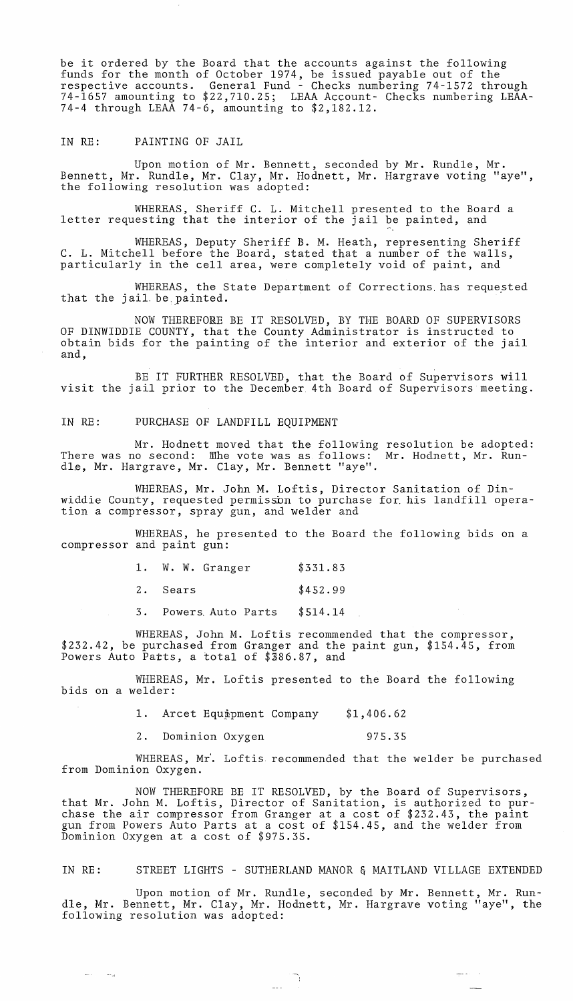be it ordered by the Board that the accounts against the following funds for the month of October 1974, be issued payable out of the respective accounts. General Fund - Checks numbering 74-1572 through 74-1657 amounting to \$22,710.25; LEAA Account- Checks numbering LEAA-74-4 through LEAA 74-6, amounting to \$2,182.12.

IN RE: PAINTING OF JAIL

Upon motion of Mr. Bennett, seconded by Mr. Rundle, Mr. Bennett, Mr. Rundle, Mr. Clay, Mr. Hodnett, Mr. Hargrave voting "aye", the following resolution was adopted:

WHEREAS, Sheriff C. L. Mitchell presented to the Board a letter requesting that the interior of the jail be painted, and

WHEREAS, Deputy Sheriff B. M. Heath, representing Sheriff C. L. Mitchell before the Board, stated that a number of the walls, particularly in the cell area, were completely void of paint, and

WHEREAS, the State Department of Corrections has requested that the jail. be.painted.

NOW THEREFORE BE IT RESOLVED, BY THE BOARD OF SUPERVISORS OF DINWIDDIE COUNTY, that the County Administrator is instructed to obtain bids for the painting of the interior and exterior of the jail and,

BE IT FURTHER RESOLVED, that the Board of Supervisors will visit the jail prior to the December 4th Board of Supervisors meeting.

IN RE: PURCHASE OF LANDFILL EQUIPMENT

Mr. Hodnett moved that the following resolution be adopted: There was no second:  $\,$  Mhe vote was as follows:  $\,$  Mr. Hodnett, Mr.  $\,$  Run-  $\,$ dle, Mr. Hargrave, Mr. Clay, Mr. Bennett "aye".

WHEREAS, Mr. John M. Loftis, Director Sanitation of Dinwiddie County, requested permisson to purchase for his landfill operation a compressor, spray gun, and welder and

WHEREAS, he presented to the Board the following bids on a compressor and paint gun:

| 1. W. W. Granger     | \$331.83 |
|----------------------|----------|
| 2. Sears             | \$452.99 |
| 3. Powers Auto Parts | \$514.14 |

WHEREAS, John M. Loftis recommended that the compressor, \$232.42, be purchased from Granger and the paint gun, \$154.45, from Powers Auto Parts, a total of \$386.87, and

WHEREAS, Mr. Loftis presented to the Board the following bids on a welder:

> 1. Arcet Equipment Company \$1,406.62

> 2. Dominion Oxygen 975.35

WHEREAS, Mr'. Loftis recommended that the welder be purchased from Dominion Oxygen.

NOW THEREFORE BE IT RESOLVED, by the Board of Supervisors, that Mr. John M. Loftis, Director of Sanitation, is authorized to purchase the air compressor from Granger at a cost of \$232.43, the paint gun from Powers Auto Parts at a cost of \$154.45, and the welder from Dominion Oxygen at a cost of \$975.35.

IN RE: STREET LIGHTS - SUTHERLAND MANOR & MAITLAND VILLAGE EXTENDED

Upon motion of Mr. Rundle, seconded by Mr. Bennett, Mr. Rundle, Mr. Bennett, Mr. Clay, Mr. Hodnett, Mr. Hargrave voting "aye", the following resolution was adopted:

الحارب المتعلق

 $\begin{pmatrix} 1 & 1 \\ 1 & 1 \\ 1 & 1 \end{pmatrix}$ 

 $\omega_{\rm{max}}$  $\sim$  70  $\mu$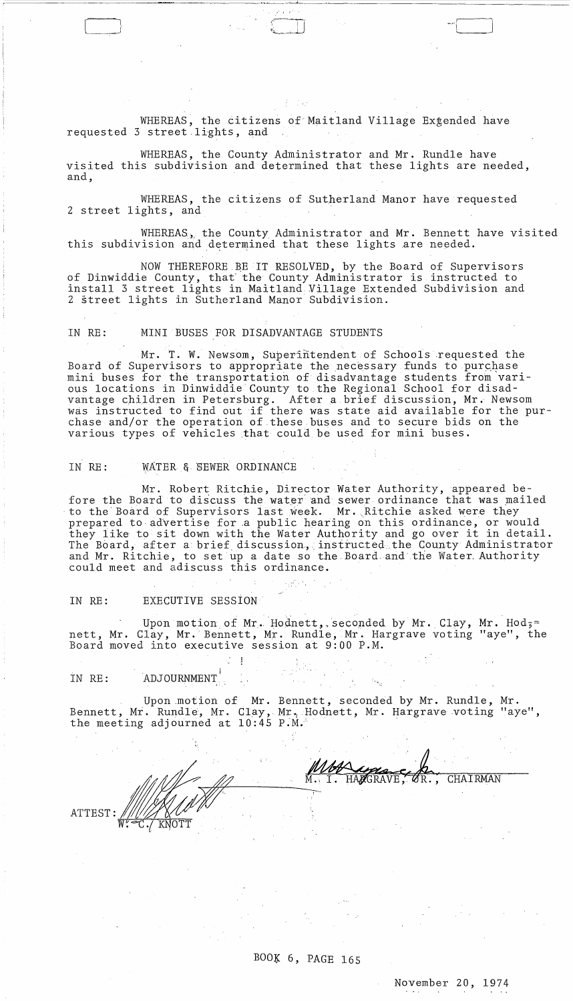WHEREAS, the citizens of Maitland Village Extended have requested 3 street.lights, and

WHEREAS, the County Administrator and Mr. Rundle have visited this subdivision and determined that these lights are needed, and,

WHEREAS, the citizens of Sutherland Manor have requested <sup>2</sup>street lights, and

WHEREAS, the County Administrator and Mr. Bennett have visited this subdivision and determined that these lights are needed.

 $\leftarrow$ 

NOW THEREFORE.BE IT RESOLVED, by the Board of Supervisors of Dinwiddie County, that'the County Administrator is instructed to install 3 street lights in Maitland Village Extended Subdivision and 2 street lights in Sutherland Manor Subdivision.

## IN RE: MINI BUSES FOR DISADVANTAGE STUDENTS

(~J ':~)'

Mr. T. W. Newsom, Superintendent of Schools requested the Board of Supervisors to appropriate the necessary funds to purchase mini buses for the transportation of disadvantage students from various locations in Dinwiddie County to the Regional School for disadvantage children in Petersburg. After a brief discussion, Mr. Newsom was instructed to find out if there was state aid available for the purchase and/or the operation of these buses and to secure bids on the various types of vehicles that could be used for mini buses.

## IN RE: WATER & SEWER ORDINANCE

Mr. Robert Ritchie, Director Water Authority, appeared before the Board to discuss the water and sewer ordinance that was mailed to the Board of Supervisors last week. Mr. Ritchie asked were they prepared to advertise for a public hearing on this ordinance, or would they like to sit down with the Water Authority and go over it in detail. The Board, after a brief discussion, instructed the County Administrator and Mr. Ritchie, to set up a date so the Board. and the Water, Authority could meet and adiscuss this ordinance.

## IN RE: EXECUTIVE SESSION

Upon motion of Mr. Hodnett, seconded by Mr. Clay, Mr. Hod;= nett, Mr. Clay, Mr.' Bennett, Mr. Rundle, Mr. Hargrave voting "aye", the Board moved into executive session at 9:00 P.M.

IN RE: ADJOURNMENT

Upon ,motion of Mr. Bennett, seconded by Mr. Rundle, Mr. Bennett, Mr. Rundle, Mr. Clay, Mr. Hodnett, Mr. Hargrave voting "aye", the meeting adjourned at  $10:45$  P.M.

MUCHAVE, OR., CHAIRMAN ATTEST

BOOK 6, PAGE 165